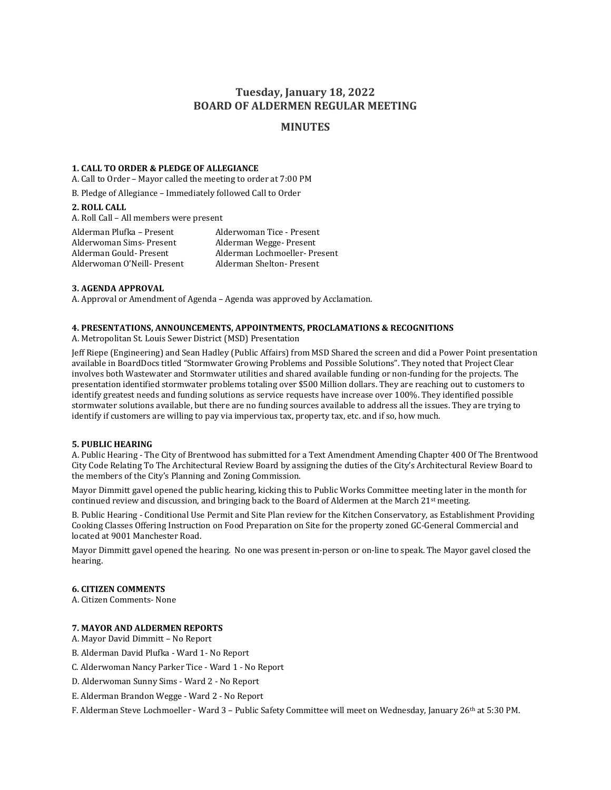# **Tuesday, January 18, 2022 BOARD OF ALDERMEN REGULAR MEETING**

## **MINUTES**

#### **1. CALL TO ORDER & PLEDGE OF ALLEGIANCE**

A. Call to Order – Mayor called the meeting to order at 7:00 PM

B. Pledge of Allegiance – Immediately followed Call to Order

## **2. ROLL CALL**

A. Roll Call – All members were present

Alderman Plufka – Present Alderwoman Tice - Present Alderwoman Sims- Present Alderman Wegge- Present Alderwoman O'Neill- Present

Alderman Gould- Present Alderman Lochmoeller- Present

## **3. AGENDA APPROVAL**

A. Approval or Amendment of Agenda – Agenda was approved by Acclamation.

## **4. PRESENTATIONS, ANNOUNCEMENTS, APPOINTMENTS, PROCLAMATIONS & RECOGNITIONS**

A. Metropolitan St. Louis Sewer District (MSD) Presentation

Jeff Riepe (Engineering) and Sean Hadley (Public Affairs) from MSD Shared the screen and did a Power Point presentation available in BoardDocs titled "Stormwater Growing Problems and Possible Solutions". They noted that Project Clear involves both Wastewater and Stormwater utilities and shared available funding or non-funding for the projects. The presentation identified stormwater problems totaling over \$500 Million dollars. They are reaching out to customers to identify greatest needs and funding solutions as service requests have increase over 100%. They identified possible stormwater solutions available, but there are no funding sources available to address all the issues. They are trying to identify if customers are willing to pay via impervious tax, property tax, etc. and if so, how much.

## **5. PUBLIC HEARING**

A. Public Hearing - The City of Brentwood has submitted for a Text Amendment Amending Chapter 400 Of The Brentwood City Code Relating To The Architectural Review Board by assigning the duties of the City's Architectural Review Board to the members of the City's Planning and Zoning Commission.

Mayor Dimmitt gavel opened the public hearing, kicking this to Public Works Committee meeting later in the month for continued review and discussion, and bringing back to the Board of Aldermen at the March  $21<sup>st</sup>$  meeting.

B. Public Hearing - Conditional Use Permit and Site Plan review for the Kitchen Conservatory, as Establishment Providing Cooking Classes Offering Instruction on Food Preparation on Site for the property zoned GC-General Commercial and located at 9001 Manchester Road.

Mayor Dimmitt gavel opened the hearing. No one was present in-person or on-line to speak. The Mayor gavel closed the hearing.

## **6. CITIZEN COMMENTS**

A. Citizen Comments- None

#### **7. MAYOR AND ALDERMEN REPORTS**

A. Mayor David Dimmitt – No Report

B. Alderman David Plufka - Ward 1- No Report

C. Alderwoman Nancy Parker Tice - Ward 1 - No Report

D. Alderwoman Sunny Sims - Ward 2 - No Report

E. Alderman Brandon Wegge - Ward 2 - No Report

F. Alderman Steve Lochmoeller - Ward 3 – Public Safety Committee will meet on Wednesday, January 26th at 5:30 PM.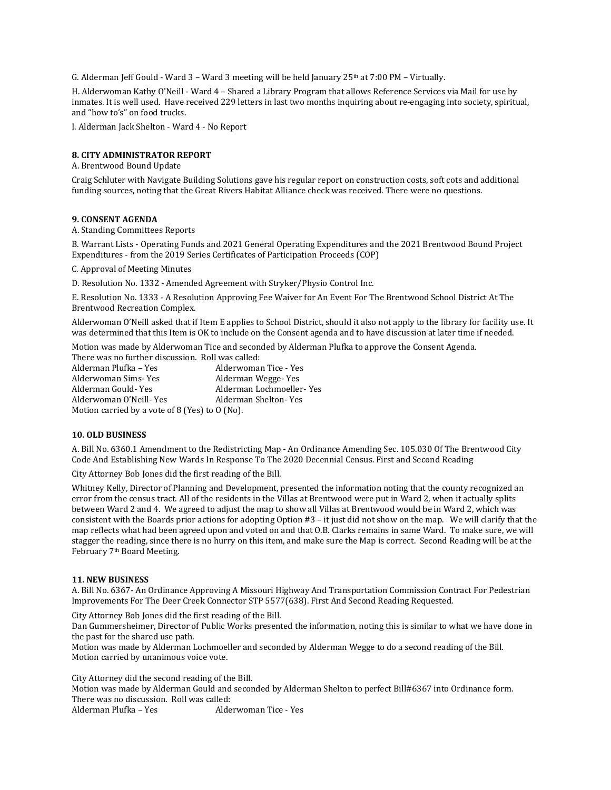G. Alderman Jeff Gould - Ward  $3$  – Ward 3 meeting will be held January  $25<sup>th</sup>$  at 7:00 PM – Virtually.

H. Alderwoman Kathy O'Neill - Ward 4 – Shared a Library Program that allows Reference Services via Mail for use by inmates. It is well used. Have received 229 letters in last two months inquiring about re-engaging into society, spiritual, and "how to's" on food trucks.

I. Alderman Jack Shelton - Ward 4 - No Report

## **8. CITY ADMINISTRATOR REPORT**

A. Brentwood Bound Update

Craig Schluter with Navigate Building Solutions gave his regular report on construction costs, soft cots and additional funding sources, noting that the Great Rivers Habitat Alliance check was received. There were no questions.

## **9. CONSENT AGENDA**

A. Standing Committees Reports

B. Warrant Lists - Operating Funds and 2021 General Operating Expenditures and the 2021 Brentwood Bound Project Expenditures - from the 2019 Series Certificates of Participation Proceeds (COP)

C. Approval of Meeting Minutes

D. Resolution No. 1332 - Amended Agreement with Stryker/Physio Control Inc.

E. Resolution No. 1333 - A Resolution Approving Fee Waiver for An Event For The Brentwood School District At The Brentwood Recreation Complex.

Alderwoman O'Neill asked that if Item E applies to School District, should it also not apply to the library for facility use. It was determined that this Item is OK to include on the Consent agenda and to have discussion at later time if needed.

Motion was made by Alderwoman Tice and seconded by Alderman Plufka to approve the Consent Agenda.

There was no further discussion. Roll was called: Alderman Plufka – Yes Alderwoman Tice - Yes Alderwoman Sims- Yes Alderman Wegge- Yes Alderman Gould- Yes Alderman Lochmoeller- Yes Alderwoman O'Neill-Yes Alderman Shelton-Yes Motion carried by a vote of 8 (Yes) to O (No).

#### **10. OLD BUSINESS**

A. Bill No. 6360.1 Amendment to the Redistricting Map - An Ordinance Amending Sec. 105.030 Of The Brentwood City Code And Establishing New Wards In Response To The 2020 Decennial Census. First and Second Reading

City Attorney Bob Jones did the first reading of the Bill.

Whitney Kelly, Director of Planning and Development, presented the information noting that the county recognized an error from the census tract. All of the residents in the Villas at Brentwood were put in Ward 2, when it actually splits between Ward 2 and 4. We agreed to adjust the map to show all Villas at Brentwood would be in Ward 2, which was consistent with the Boards prior actions for adopting Option #3 – it just did not show on the map. We will clarify that the map reflects what had been agreed upon and voted on and that O.B. Clarks remains in same Ward. To make sure, we will stagger the reading, since there is no hurry on this item, and make sure the Map is correct. Second Reading will be at the February 7th Board Meeting.

#### **11. NEW BUSINESS**

A. Bill No. 6367- An Ordinance Approving A Missouri Highway And Transportation Commission Contract For Pedestrian Improvements For The Deer Creek Connector STP 5577(638). First And Second Reading Requested.

City Attorney Bob Jones did the first reading of the Bill.

Dan Gummersheimer, Director of Public Works presented the information, noting this is similar to what we have done in the past for the shared use path.

Motion was made by Alderman Lochmoeller and seconded by Alderman Wegge to do a second reading of the Bill. Motion carried by unanimous voice vote.

City Attorney did the second reading of the Bill.

Motion was made by Alderman Gould and seconded by Alderman Shelton to perfect Bill#6367 into Ordinance form. There was no discussion. Roll was called:<br>Alderman Plufka - Yes Alde

Alderwoman Tice - Yes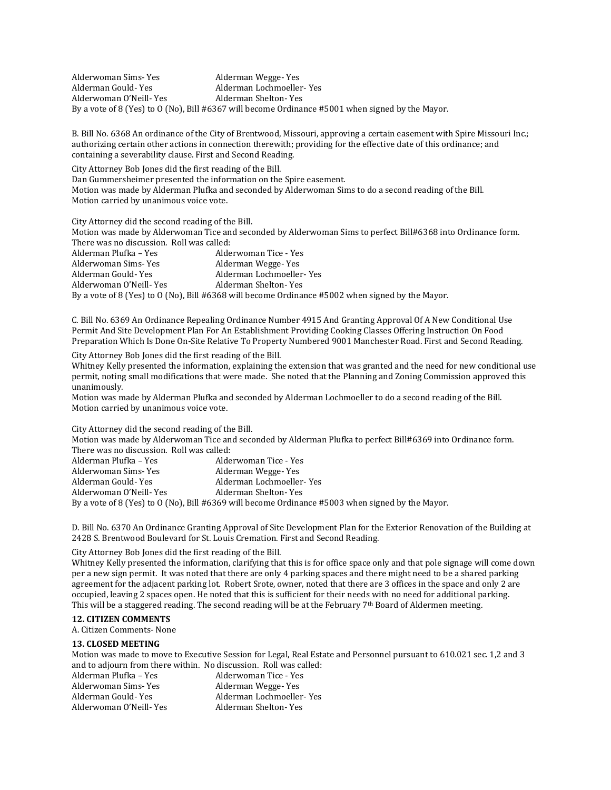Alderwoman Sims- Yes Alderman Wegge- Yes Alderman Gould- Yes Alderman Lochmoeller- Yes Alderwoman O'Neill-Yes Alderman Shelton-Yes By a vote of 8 (Yes) to O (No), Bill #6367 will become Ordinance #5001 when signed by the Mayor.

B. Bill No. 6368 An ordinance of the City of Brentwood, Missouri, approving a certain easement with Spire Missouri Inc.; authorizing certain other actions in connection therewith; providing for the effective date of this ordinance; and containing a severability clause. First and Second Reading.

City Attorney Bob Jones did the first reading of the Bill. Dan Gummersheimer presented the information on the Spire easement. Motion was made by Alderman Plufka and seconded by Alderwoman Sims to do a second reading of the Bill. Motion carried by unanimous voice vote.

City Attorney did the second reading of the Bill.

Motion was made by Alderwoman Tice and seconded by Alderwoman Sims to perfect Bill#6368 into Ordinance form. There was no discussion. Roll was called:

Alderman Plufka – Yes Alderwoman Tice - Yes Alderwoman Sims-Yes **Alderman Wegge-Yes** Alderman Gould-Yes Alderman Lochmoeller-Yes Alderwoman O'Neill-Yes Alderman Shelton-Yes By a vote of 8 (Yes) to O (No), Bill #6368 will become Ordinance #5002 when signed by the Mayor.

C. Bill No. 6369 An Ordinance Repealing Ordinance Number 4915 And Granting Approval Of A New Conditional Use Permit And Site Development Plan For An Establishment Providing Cooking Classes Offering Instruction On Food Preparation Which Is Done On-Site Relative To Property Numbered 9001 Manchester Road. First and Second Reading.

City Attorney Bob Jones did the first reading of the Bill.

Whitney Kelly presented the information, explaining the extension that was granted and the need for new conditional use permit, noting small modifications that were made. She noted that the Planning and Zoning Commission approved this unanimously.

Motion was made by Alderman Plufka and seconded by Alderman Lochmoeller to do a second reading of the Bill. Motion carried by unanimous voice vote.

City Attorney did the second reading of the Bill.

Motion was made by Alderwoman Tice and seconded by Alderman Plufka to perfect Bill#6369 into Ordinance form. There was no discussion. Roll was called:

| Alderman Plufka – Yes                                                                            | Alderwoman Tice - Yes    |
|--------------------------------------------------------------------------------------------------|--------------------------|
| Alderwoman Sims- Yes                                                                             | Alderman Wegge-Yes       |
| Alderman Gould- Yes                                                                              | Alderman Lochmoeller-Yes |
| Alderwoman O'Neill- Yes                                                                          | Alderman Shelton-Yes     |
| By a vote of 8 (Yes) to 0 (No), Bill #6369 will become Ordinance #5003 when signed by the Mayor. |                          |

D. Bill No. 6370 An Ordinance Granting Approval of Site Development Plan for the Exterior Renovation of the Building at 2428 S. Brentwood Boulevard for St. Louis Cremation. First and Second Reading.

## City Attorney Bob Jones did the first reading of the Bill.

Whitney Kelly presented the information, clarifying that this is for office space only and that pole signage will come down per a new sign permit. It was noted that there are only 4 parking spaces and there might need to be a shared parking agreement for the adjacent parking lot. Robert Srote, owner, noted that there are 3 offices in the space and only 2 are occupied, leaving 2 spaces open. He noted that this is sufficient for their needs with no need for additional parking. This will be a staggered reading. The second reading will be at the February  $7<sup>th</sup>$  Board of Aldermen meeting.

## **12. CITIZEN COMMENTS**

A. Citizen Comments- None

#### **13. CLOSED MEETING**

Motion was made to move to Executive Session for Legal, Real Estate and Personnel pursuant to 610.021 sec. 1,2 and 3 and to adjourn from there within. No discussion. Roll was called:

| Alderman Plufka – Yes   | Alderwoman Tice - Yes    |
|-------------------------|--------------------------|
| Alderwoman Sims- Yes    | Alderman Wegge-Yes       |
| Alderman Gould- Yes     | Alderman Lochmoeller-Yes |
| Alderwoman O'Neill- Yes | Alderman Shelton-Yes     |